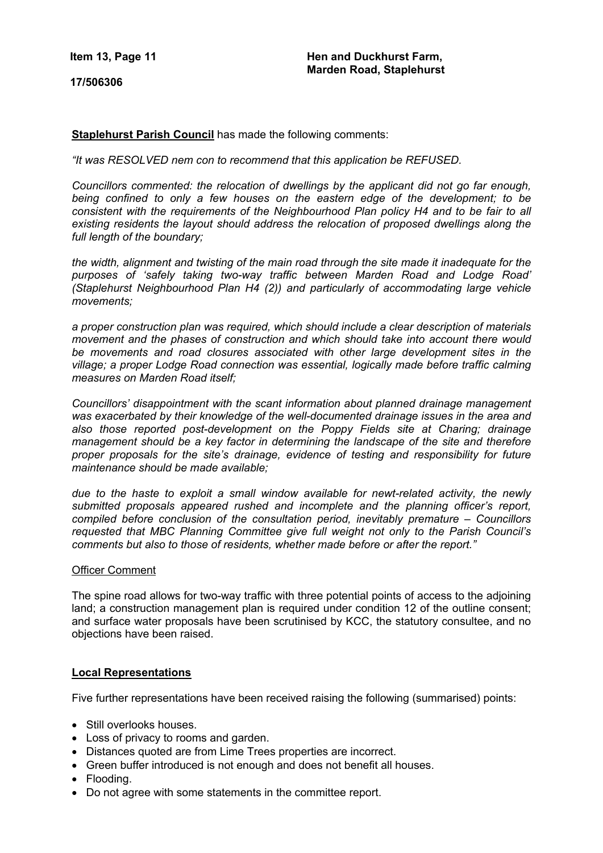**Item 13, Page 11**

**17/506306**

**Staplehurst Parish Council** has made the following comments:

*"It was RESOLVED nem con to recommend that this application be REFUSED.*

*Councillors commented: the relocation of dwellings by the applicant did not go far enough, being confined to only a few houses on the eastern edge of the development; to be consistent with the requirements of the Neighbourhood Plan policy H4 and to be fair to all existing residents the layout should address the relocation of proposed dwellings along the full length of the boundary;*

*the width, alignment and twisting of the main road through the site made it inadequate for the purposes of 'safely taking two-way traffic between Marden Road and Lodge Road' (Staplehurst Neighbourhood Plan H4 (2)) and particularly of accommodating large vehicle movements;*

*a proper construction plan was required, which should include a clear description of materials movement and the phases of construction and which should take into account there would be movements and road closures associated with other large development sites in the village; a proper Lodge Road connection was essential, logically made before traffic calming measures on Marden Road itself;*

*Councillors' disappointment with the scant information about planned drainage management was exacerbated by their knowledge of the well-documented drainage issues in the area and also those reported post-development on the Poppy Fields site at Charing; drainage management should be a key factor in determining the landscape of the site and therefore proper proposals for the site's drainage, evidence of testing and responsibility for future maintenance should be made available;*

*due to the haste to exploit a small window available for newt-related activity, the newly submitted proposals appeared rushed and incomplete and the planning officer's report, compiled before conclusion of the consultation period, inevitably premature – Councillors requested that MBC Planning Committee give full weight not only to the Parish Council's comments but also to those of residents, whether made before or after the report."*

### Officer Comment

The spine road allows for two-way traffic with three potential points of access to the adjoining land; a construction management plan is required under condition 12 of the outline consent; and surface water proposals have been scrutinised by KCC, the statutory consultee, and no objections have been raised.

## **Local Representations**

Five further representations have been received raising the following (summarised) points:

- Still overlooks houses.
- Loss of privacy to rooms and garden.
- Distances quoted are from Lime Trees properties are incorrect.
- Green buffer introduced is not enough and does not benefit all houses.
- Flooding.
- Do not agree with some statements in the committee report.